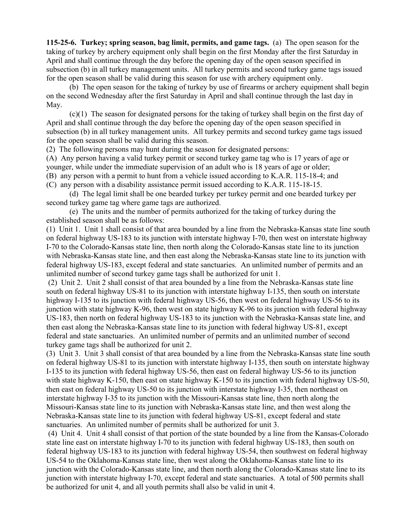**115-25-6. Turkey; spring season, bag limit, permits, and game tags.** (a) The open season for the taking of turkey by archery equipment only shall begin on the first Monday after the first Saturday in April and shall continue through the day before the opening day of the open season specified in subsection (b) in all turkey management units. All turkey permits and second turkey game tags issued for the open season shall be valid during this season for use with archery equipment only.

(b) The open season for the taking of turkey by use of firearms or archery equipment shall begin on the second Wednesday after the first Saturday in April and shall continue through the last day in May.

(c)(1) The season for designated persons for the taking of turkey shall begin on the first day of April and shall continue through the day before the opening day of the open season specified in subsection (b) in all turkey management units. All turkey permits and second turkey game tags issued for the open season shall be valid during this season.

(2) The following persons may hunt during the season for designated persons:

(A) Any person having a valid turkey permit or second turkey game tag who is 17 years of age or

younger, while under the immediate supervision of an adult who is 18 years of age or older;

(B) any person with a permit to hunt from a vehicle issued according to K.A.R. 115-18-4; and

(C) any person with a disability assistance permit issued according to K.A.R. 115-18-15.

(d) The legal limit shall be one bearded turkey per turkey permit and one bearded turkey per second turkey game tag where game tags are authorized.

(e) The units and the number of permits authorized for the taking of turkey during the established season shall be as follows:

(1) Unit 1. Unit 1 shall consist of that area bounded by a line from the Nebraska-Kansas state line south on federal highway US-183 to its junction with interstate highway I-70, then west on interstate highway I-70 to the Colorado-Kansas state line, then north along the Colorado-Kansas state line to its junction with Nebraska-Kansas state line, and then east along the Nebraska-Kansas state line to its junction with federal highway US-183, except federal and state sanctuaries. An unlimited number of permits and an unlimited number of second turkey game tags shall be authorized for unit 1.

(2) Unit 2. Unit 2 shall consist of that area bounded by a line from the Nebraska-Kansas state line south on federal highway US-81 to its junction with interstate highway I-135, then south on interstate highway I-135 to its junction with federal highway US-56, then west on federal highway US-56 to its junction with state highway K-96, then west on state highway K-96 to its junction with federal highway US-183, then north on federal highway US-183 to its junction with the Nebraska-Kansas state line, and then east along the Nebraska-Kansas state line to its junction with federal highway US-81, except federal and state sanctuaries. An unlimited number of permits and an unlimited number of second turkey game tags shall be authorized for unit 2.

(3) Unit 3. Unit 3 shall consist of that area bounded by a line from the Nebraska-Kansas state line south on federal highway US-81 to its junction with interstate highway I-135, then south on interstate highway I-135 to its junction with federal highway US-56, then east on federal highway US-56 to its junction with state highway K-150, then east on state highway K-150 to its junction with federal highway US-50, then east on federal highway US-50 to its junction with interstate highway I-35, then northeast on interstate highway I-35 to its junction with the Missouri-Kansas state line, then north along the Missouri-Kansas state line to its junction with Nebraska-Kansas state line, and then west along the Nebraska-Kansas state line to its junction with federal highway US-81, except federal and state sanctuaries. An unlimited number of permits shall be authorized for unit 3.

(4) Unit 4. Unit 4 shall consist of that portion of the state bounded by a line from the Kansas-Colorado state line east on interstate highway I-70 to its junction with federal highway US-183, then south on federal highway US-183 to its junction with federal highway US-54, then southwest on federal highway US-54 to the Oklahoma-Kansas state line, then west along the Oklahoma-Kansas state line to its junction with the Colorado-Kansas state line, and then north along the Colorado-Kansas state line to its junction with interstate highway I-70, except federal and state sanctuaries. A total of 500 permits shall be authorized for unit 4, and all youth permits shall also be valid in unit 4.